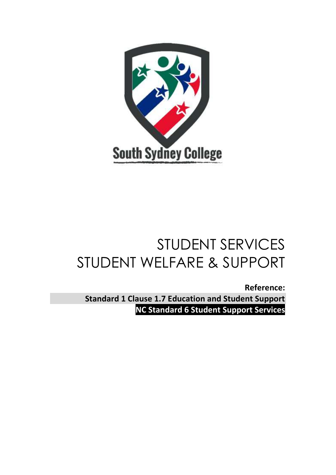

# STUDENT SERVICES STUDENT WELFARE & SUPPORT

**Reference: Standard 1 Clause 1.7 Education and Student Support NC Standard 6 Student Support Services**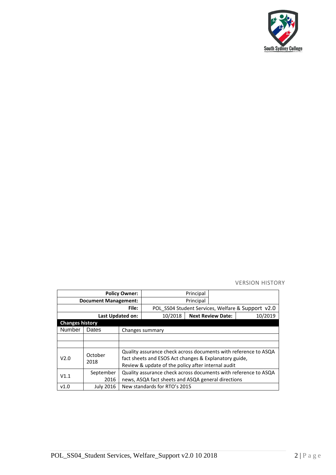

## VERSION HISTORY

| <b>Policy Owner:</b>        |                  |                                                                                                                                                                                |                                                   | Principal |                          |         |  |
|-----------------------------|------------------|--------------------------------------------------------------------------------------------------------------------------------------------------------------------------------|---------------------------------------------------|-----------|--------------------------|---------|--|
| <b>Document Management:</b> |                  |                                                                                                                                                                                |                                                   | Principal |                          |         |  |
| File:                       |                  |                                                                                                                                                                                | POL SS04 Student Services, Welfare & Support v2.0 |           |                          |         |  |
| Last Updated on:            |                  |                                                                                                                                                                                | 10/2018                                           |           | <b>Next Review Date:</b> | 10/2019 |  |
| <b>Changes history</b>      |                  |                                                                                                                                                                                |                                                   |           |                          |         |  |
| Number                      | Dates            |                                                                                                                                                                                | Changes summary                                   |           |                          |         |  |
|                             |                  |                                                                                                                                                                                |                                                   |           |                          |         |  |
|                             |                  |                                                                                                                                                                                |                                                   |           |                          |         |  |
| V2.0                        | October<br>2018  | Quality assurance check across documents with reference to ASQA<br>fact sheets and ESOS Act changes & Explanatory guide,<br>Review & update of the policy after internal audit |                                                   |           |                          |         |  |
| V1.1                        | September        | Quality assurance check across documents with reference to ASQA                                                                                                                |                                                   |           |                          |         |  |
|                             | 2016             | news, ASQA fact sheets and ASQA general directions                                                                                                                             |                                                   |           |                          |         |  |
| v1.0                        | <b>July 2016</b> | New standards for RTO's 2015                                                                                                                                                   |                                                   |           |                          |         |  |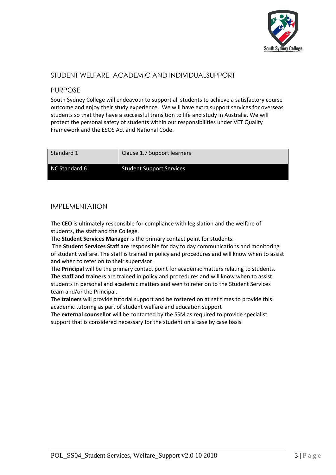

# STUDENT WELFARE, ACADEMIC AND INDIVIDUALSUPPORT

# PURPOSE

South Sydney College will endeavour to support all students to achieve a satisfactory course outcome and enjoy their study experience. We will have extra support services for overseas students so that they have a successful transition to life and study in Australia. We will protect the personal safety of students within our responsibilities under VET Quality Framework and the ESOS Act and National Code.

| Standard 1    | Clause 1.7 Support learners     |
|---------------|---------------------------------|
| NC Standard 6 | <b>Student Support Services</b> |

# IMPLEMENTATION

The **CEO** is ultimately responsible for compliance with legislation and the welfare of students, the staff and the College.

The **Student Services Manager** is the primary contact point for students.

The **Student Services Staff are** responsible for day to day communications and monitoring of student welfare. The staff is trained in policy and procedures and will know when to assist and when to refer on to their supervisor.

The **Principal** will be the primary contact point for academic matters relating to students. **The staff and trainers** are trained in policy and procedures and will know when to assist students in personal and academic matters and wen to refer on to the Student Services team and/or the Principal.

The **trainers** will provide tutorial support and be rostered on at set times to provide this academic tutoring as part of student welfare and education support

The **external counsellor** will be contacted by the SSM as required to provide specialist support that is considered necessary for the student on a case by case basis.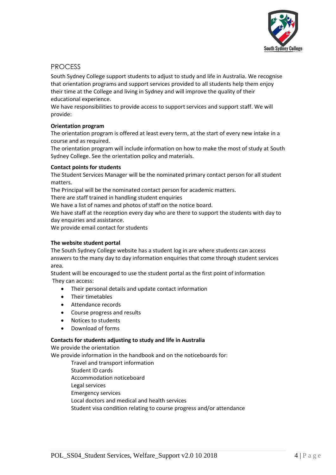

# PROCESS

South Sydney College support students to adjust to study and life in Australia. We recognise that orientation programs and support services provided to all students help them enjoy their time at the College and living in Sydney and will improve the quality of their educational experience.

We have responsibilities to provide access to support services and support staff. We will provide:

## **Orientation program**

The orientation program is offered at least every term, at the start of every new intake in a course and as required.

The orientation program will include information on how to make the most of study at South Sydney College. See the orientation policy and materials.

## **Contact points for students**

The Student Services Manager will be the nominated primary contact person for all student matters.

The Principal will be the nominated contact person for academic matters.

There are staff trained in handling student enquiries

We have a list of names and photos of staff on the notice board.

We have staff at the reception every day who are there to support the students with day to day enquiries and assistance.

We provide email contact for students

## **The website student portal**

The South Sydney College website has a student log in are where students can access answers to the many day to day information enquiries that come through student services area.

Student will be encouraged to use the student portal as the first point of information They can access:

- Their personal details and update contact information
- Their timetables
- Attendance records
- Course progress and results
- Notices to students
- Download of forms

## **Contacts for students adjusting to study and life in Australia**

We provide the orientation We provide information in the handbook and on the noticeboards for:

Travel and transport information Student ID cards Accommodation noticeboard Legal services Emergency services Local doctors and medical and health services Student visa condition relating to course progress and/or attendance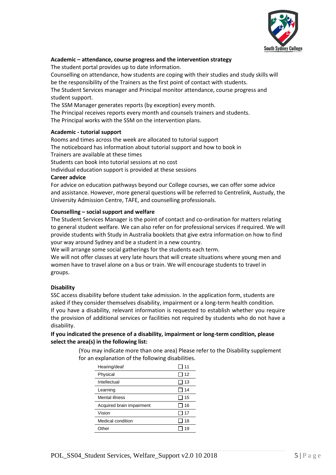

## **Academic – attendance, course progress and the intervention strategy**

The student portal provides up to date information.

Counselling on attendance, how students are coping with their studies and study skills will be the responsibility of the Trainers as the first point of contact with students. The Student Services manager and Principal monitor attendance, course progress and student support.

The SSM Manager generates reports (by exception) every month.

The Principal receives reports every month and counsels trainers and students.

The Principal works with the SSM on the intervention plans.

## **Academic - tutorial support**

Rooms and times across the week are allocated to tutorial support The noticeboard has information about tutorial support and how to book in Trainers are available at these times Students can book into tutorial sessions at no cost

Individual education support is provided at these sessions

## **Career advice**

For advice on education pathways beyond our College courses, we can offer some advice and assistance. However, more general questions will be referred to Centrelink, Austudy, the University Admission Centre, TAFE, and counselling professionals.

## **Counselling – social support and welfare**

The Student Services Manager is the point of contact and co-ordination for matters relating to general student welfare. We can also refer on for professional services if required. We will provide students with Study in Australia booklets that give extra information on how to find your way around Sydney and be a student in a new country.

We will arrange some social gatherings for the students each term.

We will not offer classes at very late hours that will create situations where young men and women have to travel alone on a bus or train. We will encourage students to travel in groups.

## **Disability**

SSC access disability before student take admission. In the application form, students are asked if they consider themselves disability, impairment or a long-term health condition. If you have a disability, relevant information is requested to establish whether you require the provision of additional services or facilities not required by students who do not have a disability.

## **If you indicated the presence of a disability, impairment or long-term condition, please select the area(s) in the following list:**

(You may indicate more than one area) Please refer to the Disability supplement for an explanation of the following disabilities.

| Hearing/deaf              | 11 |
|---------------------------|----|
| Physical                  | 12 |
| Intellectual              | 13 |
| Learning                  | 14 |
| Mental illness            | 15 |
| Acquired brain impairment | 16 |
| Vision                    | 17 |
| Medical condition         | 18 |
| ∩ther                     | 19 |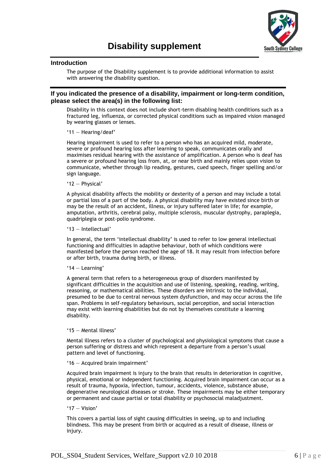

#### **Introduction**

The purpose of the Disability supplement is to provide additional information to assist with answering the disability question.

## **If you indicated the presence of a disability, impairment or long-term condition, please select the area(s) in the following list:**

Disability in this context does not include short-term disabling health conditions such as a fractured leg, influenza, or corrected physical conditions such as impaired vision managed by wearing glasses or lenses.

'11 — Hearing/deaf'

Hearing impairment is used to refer to a person who has an acquired mild, moderate, severe or profound hearing loss after learning to speak, communicates orally and maximises residual hearing with the assistance of amplification. A person who is deaf has a severe or profound hearing loss from, at, or near birth and mainly relies upon vision to communicate, whether through lip reading, gestures, cued speech, finger spelling and/or sign language.

#### '12 — Physical'

A physical disability affects the mobility or dexterity of a person and may include a total or partial loss of a part of the body. A physical disability may have existed since birth or may be the result of an accident, illness, or injury suffered later in life; for example, amputation, arthritis, cerebral palsy, multiple sclerosis, muscular dystrophy, paraplegia, quadriplegia or post-polio syndrome.

#### '13 — Intellectual'

In general, the term 'intellectual disability' is used to refer to low general intellectual functioning and difficulties in adaptive behaviour, both of which conditions were manifested before the person reached the age of 18. It may result from infection before or after birth, trauma during birth, or illness.

#### '14 — Learning'

A general term that refers to a heterogeneous group of disorders manifested by significant difficulties in the acquisition and use of listening, speaking, reading, writing, reasoning, or mathematical abilities. These disorders are intrinsic to the individual, presumed to be due to central nervous system dysfunction, and may occur across the life span. Problems in self-regulatory behaviours, social perception, and social interaction may exist with learning disabilities but do not by themselves constitute a learning disability.

#### '15 — Mental illness'

Mental illness refers to a cluster of psychological and physiological symptoms that cause a person suffering or distress and which represent a departure from a person's usual pattern and level of functioning.

#### '16 — Acquired brain impairment'

Acquired brain impairment is injury to the brain that results in deterioration in cognitive, physical, emotional or independent functioning. Acquired brain impairment can occur as a result of trauma, hypoxia, infection, tumour, accidents, violence, substance abuse, degenerative neurological diseases or stroke. These impairments may be either temporary or permanent and cause partial or total disability or psychosocial maladjustment.

#### '17 — Vision'

This covers a partial loss of sight causing difficulties in seeing, up to and including blindness. This may be present from birth or acquired as a result of disease, illness or injury.